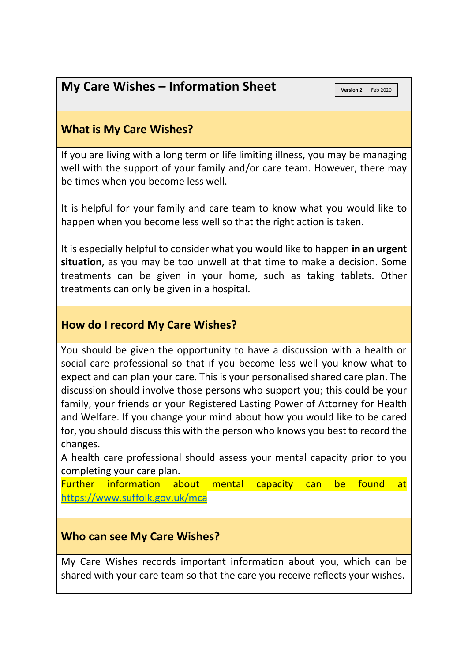# **My Care Wishes – Information Sheet**

**Version 2** Feb 2020

## **What is My Care Wishes?**

If you are living with a long term or life limiting illness, you may be managing well with the support of your family and/or care team. However, there may be times when you become less well.

It is helpful for your family and care team to know what you would like to happen when you become less well so that the right action is taken.

It is especially helpful to consider what you would like to happen **in an urgent situation**, as you may be too unwell at that time to make a decision. Some treatments can be given in your home, such as taking tablets. Other treatments can only be given in a hospital.

## **How do I record My Care Wishes?**

You should be given the opportunity to have a discussion with a health or social care professional so that if you become less well you know what to expect and can plan your care. This is your personalised shared care plan. The discussion should involve those persons who support you; this could be your family, your friends or your Registered Lasting Power of Attorney for Health and Welfare. If you change your mind about how you would like to be cared for, you should discuss this with the person who knows you best to record the changes.

A health care professional should assess your mental capacity prior to you completing your care plan.

Further information about mental capacity can be found at <https://www.suffolk.gov.uk/mca>

## **Who can see My Care Wishes?**

My Care Wishes records important information about you, which can be shared with your care team so that the care you receive reflects your wishes.